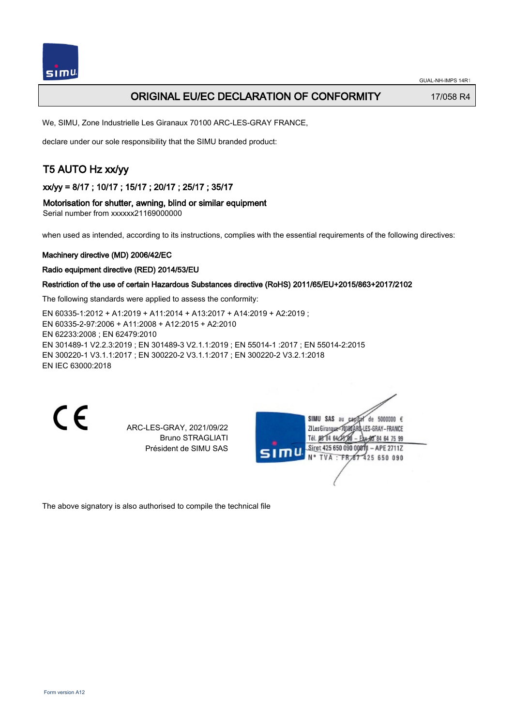

## ORIGINAL EU/EC DECLARATION OF CONFORMITY 17/058 R4

We, SIMU, Zone Industrielle Les Giranaux 70100 ARC-LES-GRAY FRANCE,

declare under our sole responsibility that the SIMU branded product:

## T5 AUTO Hz xx/yy

xx/yy = 8/17 ; 10/17 ; 15/17 ; 20/17 ; 25/17 ; 35/17

### Motorisation for shutter, awning, blind or similar equipment

Serial number from xxxxxx21169000000

when used as intended, according to its instructions, complies with the essential requirements of the following directives:

#### Machinery directive (MD) 2006/42/EC

#### Radio equipment directive (RED) 2014/53/EU

### Restriction of the use of certain Hazardous Substances directive (RoHS) 2011/65/EU+2015/863+2017/2102

The following standards were applied to assess the conformity:

EN 60335‑1:2012 + A1:2019 + A11:2014 + A13:2017 + A14:2019 + A2:2019 ; EN 60335‑2‑97:2006 + A11:2008 + A12:2015 + A2:2010 EN 62233:2008 ; EN 62479:2010 EN 301489‑1 V2.2.3:2019 ; EN 301489‑3 V2.1.1:2019 ; EN 55014‑1 :2017 ; EN 55014‑2:2015 EN 300220‑1 V3.1.1:2017 ; EN 300220‑2 V3.1.1:2017 ; EN 300220‑2 V3.2.1:2018 EN IEC 63000:2018

 $\epsilon$ 

ARC-LES-GRAY, 2021/09/22 Bruno STRAGLIATI Président de SIMU SAS

de 5000000  $\epsilon$ **ZILesGiranaua** ES-GRAY-FRANCE THE DR'RA 64/2 85 84 64 75 99 Siret 425 650 090 00811 - APE 2711Z FR 67 425 650 090 TVA

The above signatory is also authorised to compile the technical file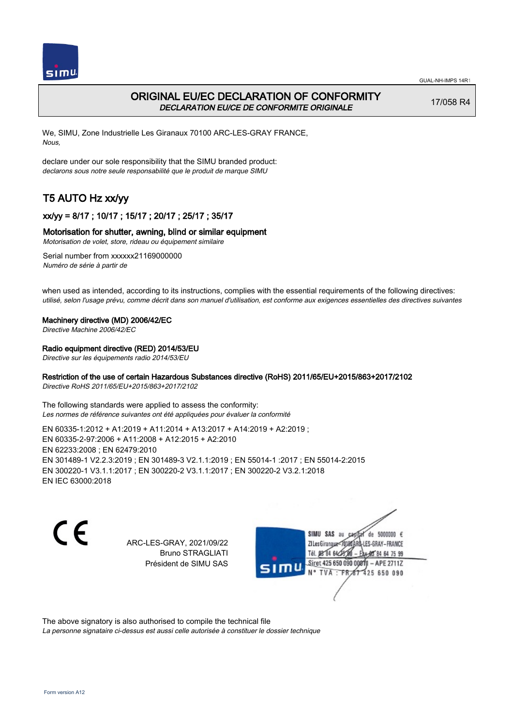

## ORIGINAL EU/EC DECLARATION OF CONFORMITY DECLARATION EU/CE DE CONFORMITE ORIGINALE

17/058 R4

We, SIMU, Zone Industrielle Les Giranaux 70100 ARC-LES-GRAY FRANCE, Nous,

declare under our sole responsibility that the SIMU branded product: declarons sous notre seule responsabilité que le produit de marque SIMU

# T5 AUTO Hz xx/yy

## xx/yy = 8/17 ; 10/17 ; 15/17 ; 20/17 ; 25/17 ; 35/17

## Motorisation for shutter, awning, blind or similar equipment

Motorisation de volet, store, rideau ou équipement similaire

Serial number from xxxxxx21169000000 Numéro de série à partir de

when used as intended, according to its instructions, complies with the essential requirements of the following directives: utilisé, selon l'usage prévu, comme décrit dans son manuel d'utilisation, est conforme aux exigences essentielles des directives suivantes

### Machinery directive (MD) 2006/42/EC

Directive Machine 2006/42/EC

### Radio equipment directive (RED) 2014/53/EU

Directive sur les équipements radio 2014/53/EU

### Restriction of the use of certain Hazardous Substances directive (RoHS) 2011/65/EU+2015/863+2017/2102

Directive RoHS 2011/65/EU+2015/863+2017/2102

The following standards were applied to assess the conformity: Les normes de référence suivantes ont été appliquées pour évaluer la conformité

EN 60335‑1:2012 + A1:2019 + A11:2014 + A13:2017 + A14:2019 + A2:2019 ; EN 60335‑2‑97:2006 + A11:2008 + A12:2015 + A2:2010 EN 62233:2008 ; EN 62479:2010 EN 301489‑1 V2.2.3:2019 ; EN 301489‑3 V2.1.1:2019 ; EN 55014‑1 :2017 ; EN 55014‑2:2015 EN 300220‑1 V3.1.1:2017 ; EN 300220‑2 V3.1.1:2017 ; EN 300220‑2 V3.2.1:2018 EN IEC 63000:2018

 $\epsilon$ 

ARC-LES-GRAY, 2021/09/22 Bruno STRAGLIATI Président de SIMU SAS



The above signatory is also authorised to compile the technical file

La personne signataire ci-dessus est aussi celle autorisée à constituer le dossier technique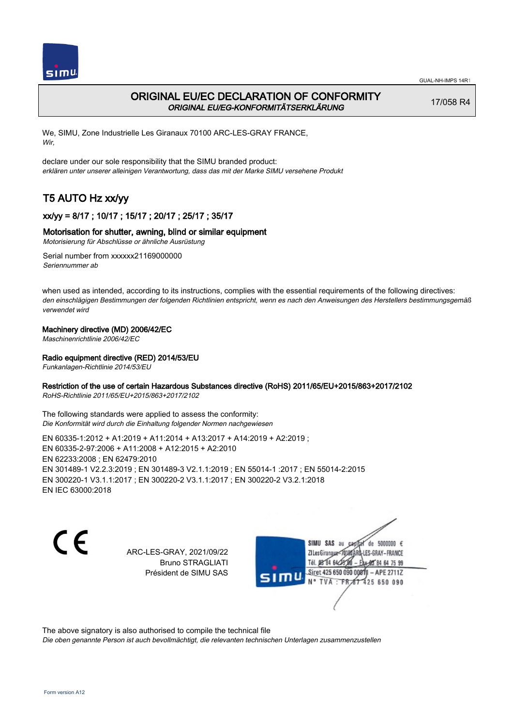

## ORIGINAL EU/EC DECLARATION OF CONFORMITY ORIGINAL EU/EG-KONFORMITÄTSERKLÄRUNG

17/058 R4

We, SIMU, Zone Industrielle Les Giranaux 70100 ARC-LES-GRAY FRANCE, Wir,

declare under our sole responsibility that the SIMU branded product: erklären unter unserer alleinigen Verantwortung, dass das mit der Marke SIMU versehene Produkt

# T5 AUTO Hz xx/yy

## xx/yy = 8/17 ; 10/17 ; 15/17 ; 20/17 ; 25/17 ; 35/17

## Motorisation for shutter, awning, blind or similar equipment

Motorisierung für Abschlüsse or ähnliche Ausrüstung

Serial number from xxxxxx21169000000 Seriennummer ab

when used as intended, according to its instructions, complies with the essential requirements of the following directives: den einschlägigen Bestimmungen der folgenden Richtlinien entspricht, wenn es nach den Anweisungen des Herstellers bestimmungsgemäß verwendet wird

## Machinery directive (MD) 2006/42/EC

Maschinenrichtlinie 2006/42/EC

## Radio equipment directive (RED) 2014/53/EU

Funkanlagen-Richtlinie 2014/53/EU

### Restriction of the use of certain Hazardous Substances directive (RoHS) 2011/65/EU+2015/863+2017/2102

RoHS-Richtlinie 2011/65/EU+2015/863+2017/2102

The following standards were applied to assess the conformity: Die Konformität wird durch die Einhaltung folgender Normen nachgewiesen

EN 60335‑1:2012 + A1:2019 + A11:2014 + A13:2017 + A14:2019 + A2:2019 ; EN 60335‑2‑97:2006 + A11:2008 + A12:2015 + A2:2010 EN 62233:2008 ; EN 62479:2010 EN 301489‑1 V2.2.3:2019 ; EN 301489‑3 V2.1.1:2019 ; EN 55014‑1 :2017 ; EN 55014‑2:2015 EN 300220‑1 V3.1.1:2017 ; EN 300220‑2 V3.1.1:2017 ; EN 300220‑2 V3.2.1:2018 EN IEC 63000:2018

C E

ARC-LES-GRAY, 2021/09/22 Bruno STRAGLIATI Président de SIMU SAS

SIMU SAS au de 5000000  $\epsilon$ ZI Les Giranaux-70180 LES-GRAY-FRANCE Tél. 08 84 64 24 64 75 99 Siret 425 650 090 0001) - APE 2711Z 425 650 090 **TVA:FR** 

The above signatory is also authorised to compile the technical file

Die oben genannte Person ist auch bevollmächtigt, die relevanten technischen Unterlagen zusammenzustellen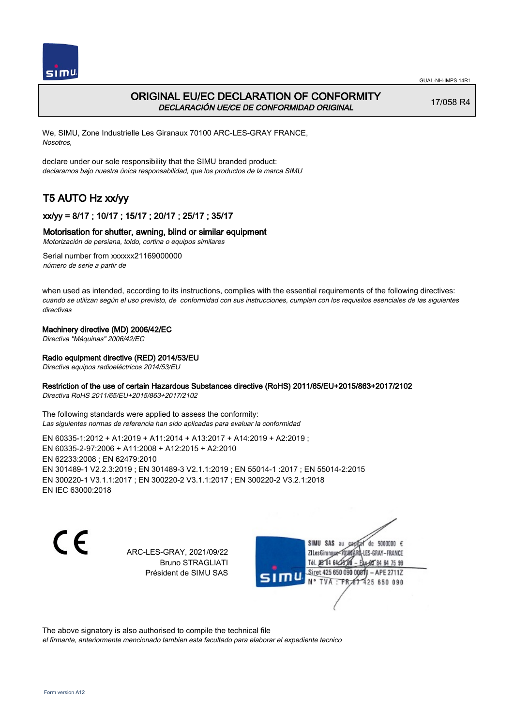



## ORIGINAL EU/EC DECLARATION OF CONFORMITY DECLARACIÓN UE/CE DE CONFORMIDAD ORIGINAL

17/058 R4

We, SIMU, Zone Industrielle Les Giranaux 70100 ARC-LES-GRAY FRANCE, Nosotros,

declare under our sole responsibility that the SIMU branded product: declaramos bajo nuestra única responsabilidad, que los productos de la marca SIMU

# T5 AUTO Hz xx/yy

## xx/yy = 8/17 ; 10/17 ; 15/17 ; 20/17 ; 25/17 ; 35/17

## Motorisation for shutter, awning, blind or similar equipment

Motorización de persiana, toldo, cortina o equipos similares

Serial number from xxxxxx21169000000 número de serie a partir de

when used as intended, according to its instructions, complies with the essential requirements of the following directives: cuando se utilizan según el uso previsto, de conformidad con sus instrucciones, cumplen con los requisitos esenciales de las siguientes directivas

### Machinery directive (MD) 2006/42/EC

Directiva "Máquinas" 2006/42/EC

### Radio equipment directive (RED) 2014/53/EU

Directiva equipos radioeléctricos 2014/53/EU

### Restriction of the use of certain Hazardous Substances directive (RoHS) 2011/65/EU+2015/863+2017/2102

Directiva RoHS 2011/65/EU+2015/863+2017/2102

The following standards were applied to assess the conformity: Las siguientes normas de referencia han sido aplicadas para evaluar la conformidad

EN 60335‑1:2012 + A1:2019 + A11:2014 + A13:2017 + A14:2019 + A2:2019 ; EN 60335‑2‑97:2006 + A11:2008 + A12:2015 + A2:2010 EN 62233:2008 ; EN 62479:2010 EN 301489‑1 V2.2.3:2019 ; EN 301489‑3 V2.1.1:2019 ; EN 55014‑1 :2017 ; EN 55014‑2:2015 EN 300220‑1 V3.1.1:2017 ; EN 300220‑2 V3.1.1:2017 ; EN 300220‑2 V3.2.1:2018 EN IEC 63000:2018

C E

ARC-LES-GRAY, 2021/09/22 Bruno STRAGLIATI Président de SIMU SAS

SIMU SAS au de 5000000  $\epsilon$ ZI Les Giranaux</r0180 LES-GRAY-FRANCE Tél. 08 84 64 24 64 75 99 Siret 425 650 090 008TV - APE 2711Z 425 650 090 TVA: FR

The above signatory is also authorised to compile the technical file

el firmante, anteriormente mencionado tambien esta facultado para elaborar el expediente tecnico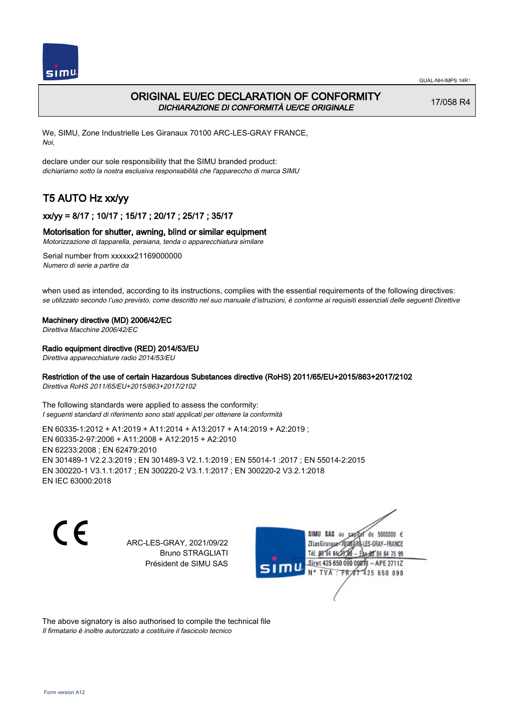

## ORIGINAL EU/EC DECLARATION OF CONFORMITY DICHIARAZIONE DI CONFORMITÀ UE/CE ORIGINALE

17/058 R4

We, SIMU, Zone Industrielle Les Giranaux 70100 ARC-LES-GRAY FRANCE, Noi,

declare under our sole responsibility that the SIMU branded product: dichiariamo sotto la nostra esclusiva responsabilità che l'appareccho di marca SIMU

# T5 AUTO Hz xx/yy

## xx/yy = 8/17 ; 10/17 ; 15/17 ; 20/17 ; 25/17 ; 35/17

### Motorisation for shutter, awning, blind or similar equipment

Motorizzazione di tapparella, persiana, tenda o apparecchiatura similare

Serial number from xxxxxx21169000000 Numero di serie a partire da

when used as intended, according to its instructions, complies with the essential requirements of the following directives: se utilizzato secondo l'uso previsto, come descritto nel suo manuale d'istruzioni, è conforme ai requisiti essenziali delle seguenti Direttive

### Machinery directive (MD) 2006/42/EC

Direttiva Macchine 2006/42/EC

### Radio equipment directive (RED) 2014/53/EU

Direttiva apparecchiature radio 2014/53/EU

### Restriction of the use of certain Hazardous Substances directive (RoHS) 2011/65/EU+2015/863+2017/2102

Direttiva RoHS 2011/65/EU+2015/863+2017/2102

The following standards were applied to assess the conformity: I seguenti standard di riferimento sono stati applicati per ottenere la conformità

EN 60335‑1:2012 + A1:2019 + A11:2014 + A13:2017 + A14:2019 + A2:2019 ; EN 60335‑2‑97:2006 + A11:2008 + A12:2015 + A2:2010 EN 62233:2008 ; EN 62479:2010 EN 301489‑1 V2.2.3:2019 ; EN 301489‑3 V2.1.1:2019 ; EN 55014‑1 :2017 ; EN 55014‑2:2015 EN 300220‑1 V3.1.1:2017 ; EN 300220‑2 V3.1.1:2017 ; EN 300220‑2 V3.2.1:2018 EN IEC 63000:2018

 $\epsilon$ 

ARC-LES-GRAY, 2021/09/22 Bruno STRAGLIATI Président de SIMU SAS



The above signatory is also authorised to compile the technical file Il firmatario è inoltre autorizzato a costituire il fascicolo tecnico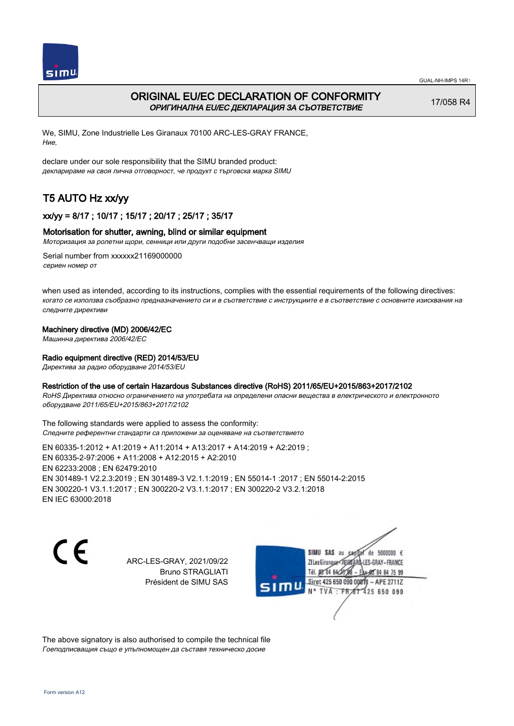



## ORIGINAL EU/EC DECLARATION OF CONFORMITY ОРИГИНАЛНА EU/EC ДЕКЛАРАЦИЯ ЗА СЪОТВЕТСТВИЕ

17/058 R4

We, SIMU, Zone Industrielle Les Giranaux 70100 ARC-LES-GRAY FRANCE, Ние,

declare under our sole responsibility that the SIMU branded product: декларираме на своя лична отговорност, че продукт с търговска марка SIMU

# T5 AUTO Hz xx/yy

## xx/yy = 8/17 ; 10/17 ; 15/17 ; 20/17 ; 25/17 ; 35/17

### Motorisation for shutter, awning, blind or similar equipment

Моторизация за ролетни щори, сенници или други подобни засенчващи изделия

Serial number from xxxxxx21169000000 сериен номер от

when used as intended, according to its instructions, complies with the essential requirements of the following directives: когато се използва съобразно предназначението си и в съответствие с инструкциите е в съответствие с основните изисквания на следните директиви

### Machinery directive (MD) 2006/42/EC

Машинна директива 2006/42/EC

### Radio equipment directive (RED) 2014/53/EU

Директива за радио оборудване 2014/53/EU

### Restriction of the use of certain Hazardous Substances directive (RoHS) 2011/65/EU+2015/863+2017/2102

RoHS Директива относно ограничението на употребата на определени опасни вещества в електрическото и електронното оборудване 2011/65/EU+2015/863+2017/2102

The following standards were applied to assess the conformity: Следните референтни стандарти са приложени за оценяване на съответствието

EN 60335‑1:2012 + A1:2019 + A11:2014 + A13:2017 + A14:2019 + A2:2019 ; EN 60335‑2‑97:2006 + A11:2008 + A12:2015 + A2:2010 EN 62233:2008 ; EN 62479:2010 EN 301489‑1 V2.2.3:2019 ; EN 301489‑3 V2.1.1:2019 ; EN 55014‑1 :2017 ; EN 55014‑2:2015 EN 300220‑1 V3.1.1:2017 ; EN 300220‑2 V3.1.1:2017 ; EN 300220‑2 V3.2.1:2018 EN IEC 63000:2018

C E

ARC-LES-GRAY, 2021/09/22 Bruno STRAGLIATI Président de SIMU SAS



The above signatory is also authorised to compile the technical file Гоеподписващия също е упълномощен да съставя техническо досие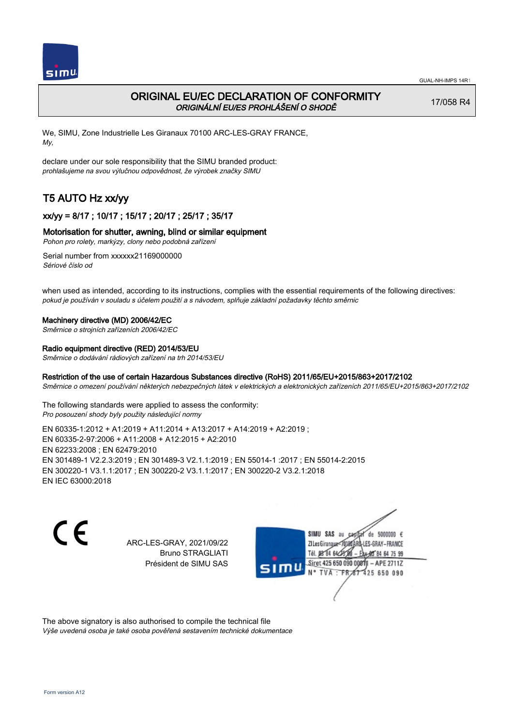

## ORIGINAL EU/EC DECLARATION OF CONFORMITY ORIGINÁLNÍ EU/ES PROHLÁŠENÍ O SHODĚ

17/058 R4

We, SIMU, Zone Industrielle Les Giranaux 70100 ARC-LES-GRAY FRANCE, My,

declare under our sole responsibility that the SIMU branded product: prohlašujeme na svou výlučnou odpovědnost, že výrobek značky SIMU

# T5 AUTO Hz xx/yy

## xx/yy = 8/17 ; 10/17 ; 15/17 ; 20/17 ; 25/17 ; 35/17

## Motorisation for shutter, awning, blind or similar equipment

Pohon pro rolety, markýzy, clony nebo podobná zařízení

Serial number from xxxxxx21169000000 Sériové číslo od

when used as intended, according to its instructions, complies with the essential requirements of the following directives: pokud je používán v souladu s účelem použití a s návodem, splňuje základní požadavky těchto směrnic

### Machinery directive (MD) 2006/42/EC

Směrnice o strojních zařízeních 2006/42/EC

### Radio equipment directive (RED) 2014/53/EU

Směrnice o dodávání rádiových zařízení na trh 2014/53/EU

### Restriction of the use of certain Hazardous Substances directive (RoHS) 2011/65/EU+2015/863+2017/2102

Směrnice o omezení používání některých nebezpečných látek v elektrických a elektronických zařízeních 2011/65/EU+2015/863+2017/2102

The following standards were applied to assess the conformity: Pro posouzení shody byly použity následující normy

EN 60335‑1:2012 + A1:2019 + A11:2014 + A13:2017 + A14:2019 + A2:2019 ; EN 60335‑2‑97:2006 + A11:2008 + A12:2015 + A2:2010 EN 62233:2008 ; EN 62479:2010 EN 301489‑1 V2.2.3:2019 ; EN 301489‑3 V2.1.1:2019 ; EN 55014‑1 :2017 ; EN 55014‑2:2015 EN 300220‑1 V3.1.1:2017 ; EN 300220‑2 V3.1.1:2017 ; EN 300220‑2 V3.2.1:2018 EN IEC 63000:2018

 $\epsilon$ 

ARC-LES-GRAY, 2021/09/22 Bruno STRAGLIATI Président de SIMU SAS



The above signatory is also authorised to compile the technical file Výše uvedená osoba je také osoba pověřená sestavením technické dokumentace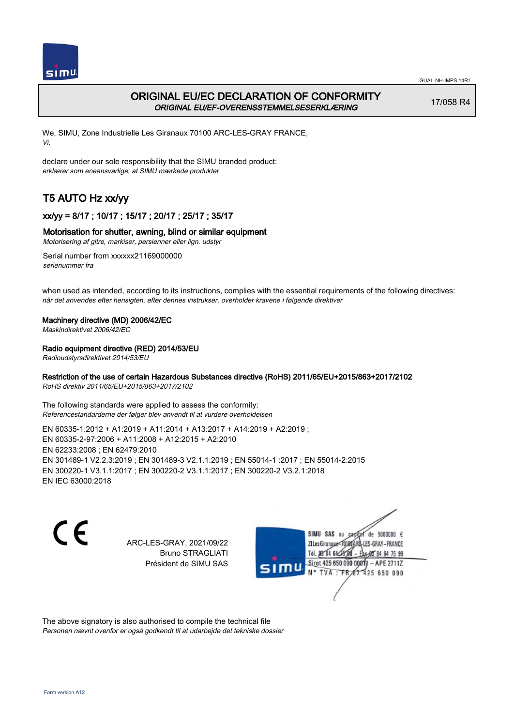



## ORIGINAL EU/EC DECLARATION OF CONFORMITY ORIGINAL EU/EF-OVERENSSTEMMELSESERKLÆRING

17/058 R4

We, SIMU, Zone Industrielle Les Giranaux 70100 ARC-LES-GRAY FRANCE, Vi,

declare under our sole responsibility that the SIMU branded product: erklærer som eneansvarlige, at SIMU mærkede produkter

# T5 AUTO Hz xx/yy

## xx/yy = 8/17 ; 10/17 ; 15/17 ; 20/17 ; 25/17 ; 35/17

## Motorisation for shutter, awning, blind or similar equipment

Motorisering af gitre, markiser, persienner eller lign. udstyr

Serial number from xxxxxx21169000000 serienummer fra

when used as intended, according to its instructions, complies with the essential requirements of the following directives: når det anvendes efter hensigten, efter dennes instrukser, overholder kravene i følgende direktiver

### Machinery directive (MD) 2006/42/EC

Maskindirektivet 2006/42/EC

### Radio equipment directive (RED) 2014/53/EU

Radioudstyrsdirektivet 2014/53/EU

### Restriction of the use of certain Hazardous Substances directive (RoHS) 2011/65/EU+2015/863+2017/2102

RoHS direktiv 2011/65/EU+2015/863+2017/2102

The following standards were applied to assess the conformity: Referencestandarderne der følger blev anvendt til at vurdere overholdelsen

EN 60335‑1:2012 + A1:2019 + A11:2014 + A13:2017 + A14:2019 + A2:2019 ; EN 60335‑2‑97:2006 + A11:2008 + A12:2015 + A2:2010 EN 62233:2008 ; EN 62479:2010 EN 301489‑1 V2.2.3:2019 ; EN 301489‑3 V2.1.1:2019 ; EN 55014‑1 :2017 ; EN 55014‑2:2015 EN 300220‑1 V3.1.1:2017 ; EN 300220‑2 V3.1.1:2017 ; EN 300220‑2 V3.2.1:2018 EN IEC 63000:2018

 $\epsilon$ 

ARC-LES-GRAY, 2021/09/22 Bruno STRAGLIATI Président de SIMU SAS



The above signatory is also authorised to compile the technical file Personen nævnt ovenfor er også godkendt til at udarbejde det tekniske dossier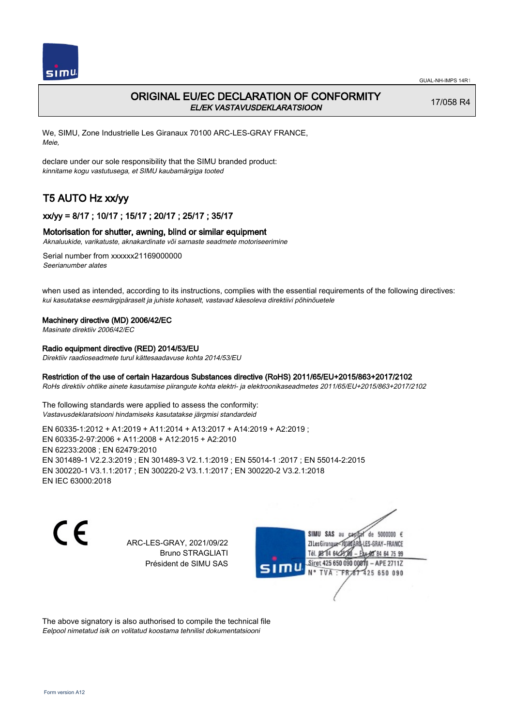

## ORIGINAL EU/EC DECLARATION OF CONFORMITY EL/EK VASTAVUSDEKLARATSIOON

17/058 R4

We, SIMU, Zone Industrielle Les Giranaux 70100 ARC-LES-GRAY FRANCE, Meie,

declare under our sole responsibility that the SIMU branded product: kinnitame kogu vastutusega, et SIMU kaubamärgiga tooted

# T5 AUTO Hz xx/yy

### xx/yy = 8/17 ; 10/17 ; 15/17 ; 20/17 ; 25/17 ; 35/17

#### Motorisation for shutter, awning, blind or similar equipment

Aknaluukide, varikatuste, aknakardinate või sarnaste seadmete motoriseerimine

Serial number from xxxxxx21169000000 Seerianumber alates

when used as intended, according to its instructions, complies with the essential requirements of the following directives: kui kasutatakse eesmärgipäraselt ja juhiste kohaselt, vastavad käesoleva direktiivi põhinõuetele

#### Machinery directive (MD) 2006/42/EC

Masinate direktiiv 2006/42/EC

## Radio equipment directive (RED) 2014/53/EU

Direktiiv raadioseadmete turul kättesaadavuse kohta 2014/53/EU

### Restriction of the use of certain Hazardous Substances directive (RoHS) 2011/65/EU+2015/863+2017/2102

RoHs direktiiv ohtlike ainete kasutamise piirangute kohta elektri- ja elektroonikaseadmetes 2011/65/EU+2015/863+2017/2102

The following standards were applied to assess the conformity: Vastavusdeklaratsiooni hindamiseks kasutatakse järgmisi standardeid

EN 60335‑1:2012 + A1:2019 + A11:2014 + A13:2017 + A14:2019 + A2:2019 ; EN 60335‑2‑97:2006 + A11:2008 + A12:2015 + A2:2010 EN 62233:2008 ; EN 62479:2010 EN 301489‑1 V2.2.3:2019 ; EN 301489‑3 V2.1.1:2019 ; EN 55014‑1 :2017 ; EN 55014‑2:2015 EN 300220‑1 V3.1.1:2017 ; EN 300220‑2 V3.1.1:2017 ; EN 300220‑2 V3.2.1:2018 EN IEC 63000:2018

 $\epsilon$ 

ARC-LES-GRAY, 2021/09/22 Bruno STRAGLIATI Président de SIMU SAS



The above signatory is also authorised to compile the technical file Eelpool nimetatud isik on volitatud koostama tehnilist dokumentatsiooni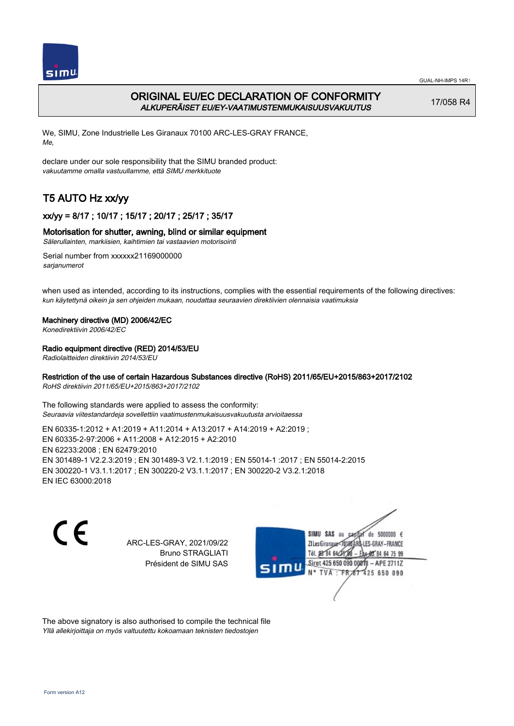

## ORIGINAL EU/EC DECLARATION OF CONFORMITY ALKUPERÄISET EU/EY-VAATIMUSTENMUKAISUUSVAKUUTUS

17/058 R4

We, SIMU, Zone Industrielle Les Giranaux 70100 ARC-LES-GRAY FRANCE, Me,

declare under our sole responsibility that the SIMU branded product: vakuutamme omalla vastuullamme, että SIMU merkkituote

# T5 AUTO Hz xx/yy

## xx/yy = 8/17 ; 10/17 ; 15/17 ; 20/17 ; 25/17 ; 35/17

## Motorisation for shutter, awning, blind or similar equipment

Sälerullainten, markiisien, kaihtimien tai vastaavien motorisointi

Serial number from xxxxxx21169000000 sarianumerot

when used as intended, according to its instructions, complies with the essential requirements of the following directives: kun käytettynä oikein ja sen ohjeiden mukaan, noudattaa seuraavien direktiivien olennaisia vaatimuksia

### Machinery directive (MD) 2006/42/EC

Konedirektiivin 2006/42/EC

### Radio equipment directive (RED) 2014/53/EU

Radiolaitteiden direktiivin 2014/53/EU

### Restriction of the use of certain Hazardous Substances directive (RoHS) 2011/65/EU+2015/863+2017/2102

RoHS direktiivin 2011/65/EU+2015/863+2017/2102

The following standards were applied to assess the conformity: Seuraavia viitestandardeja sovellettiin vaatimustenmukaisuusvakuutusta arvioitaessa

EN 60335‑1:2012 + A1:2019 + A11:2014 + A13:2017 + A14:2019 + A2:2019 ; EN 60335‑2‑97:2006 + A11:2008 + A12:2015 + A2:2010 EN 62233:2008 ; EN 62479:2010 EN 301489‑1 V2.2.3:2019 ; EN 301489‑3 V2.1.1:2019 ; EN 55014‑1 :2017 ; EN 55014‑2:2015 EN 300220‑1 V3.1.1:2017 ; EN 300220‑2 V3.1.1:2017 ; EN 300220‑2 V3.2.1:2018 EN IEC 63000:2018

 $\epsilon$ 

ARC-LES-GRAY, 2021/09/22 Bruno STRAGLIATI Président de SIMU SAS



The above signatory is also authorised to compile the technical file Yllä allekirjoittaja on myös valtuutettu kokoamaan teknisten tiedostojen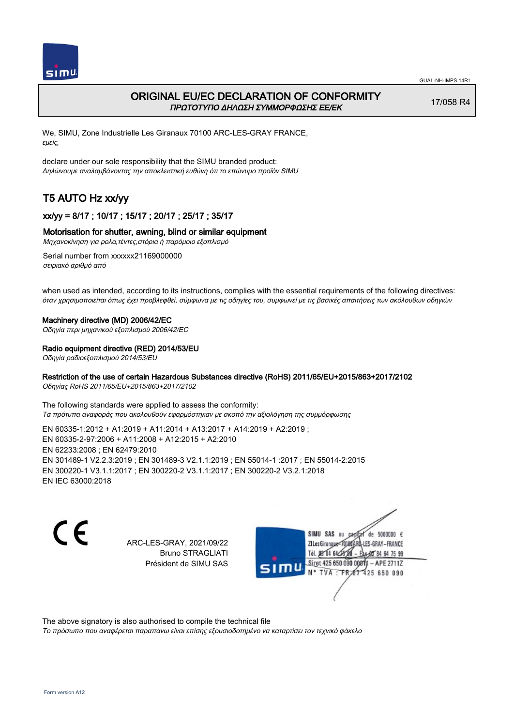

## ORIGINAL EU/EC DECLARATION OF CONFORMITY ΠΡΩΤΟΤΥΠΟ ΔΗΛΩΣΗ ΣΥΜΜΟΡΦΩΣΗΣ ΕΕ/EK

17/058 R4

We, SIMU, Zone Industrielle Les Giranaux 70100 ARC-LES-GRAY FRANCE, εμείς,

declare under our sole responsibility that the SIMU branded product: Δηλώνουμε αναλαμβάνοντας την αποκλειστική ευθύνη ότι το επώνυμο προϊόν SIMU

# T5 AUTO Hz xx/yy

## xx/yy = 8/17 ; 10/17 ; 15/17 ; 20/17 ; 25/17 ; 35/17

### Motorisation for shutter, awning, blind or similar equipment

Μηχανοκίνηση για ρολα,τέντες,στόρια ή παρόμοιο εξοπλισμό

Serial number from xxxxxx21169000000 σειριακό αριθμό από

when used as intended, according to its instructions, complies with the essential requirements of the following directives: όταν χρησιμοποιείται όπως έχει προβλεφθεί, σύμφωνα με τις οδηγίες του, συμφωνεί με τις βασικές απαιτήσεις των ακόλουθων οδηγιών

#### Machinery directive (MD) 2006/42/EC

Οδηγία περι μηχανικού εξοπλισμού 2006/42/EC

#### Radio equipment directive (RED) 2014/53/EU

Οδηγία ραδιοεξοπλισμού 2014/53/EU

### Restriction of the use of certain Hazardous Substances directive (RoHS) 2011/65/EU+2015/863+2017/2102

Οδηγίας RoHS 2011/65/EU+2015/863+2017/2102

The following standards were applied to assess the conformity: Τα πρότυπα αναφοράς που ακολουθούν εφαρμόστηκαν με σκοπό την αξιολόγηση της συμμόρφωσης

EN 60335‑1:2012 + A1:2019 + A11:2014 + A13:2017 + A14:2019 + A2:2019 ; EN 60335‑2‑97:2006 + A11:2008 + A12:2015 + A2:2010 EN 62233:2008 ; EN 62479:2010 EN 301489‑1 V2.2.3:2019 ; EN 301489‑3 V2.1.1:2019 ; EN 55014‑1 :2017 ; EN 55014‑2:2015 EN 300220‑1 V3.1.1:2017 ; EN 300220‑2 V3.1.1:2017 ; EN 300220‑2 V3.2.1:2018 EN IEC 63000:2018

C F

ARC-LES-GRAY, 2021/09/22 Bruno STRAGLIATI Président de SIMU SAS



The above signatory is also authorised to compile the technical file

Το πρόσωπο που αναφέρεται παραπάνω είναι επίσης εξουσιοδοτημένο να καταρτίσει τον τεχνικό φάκελο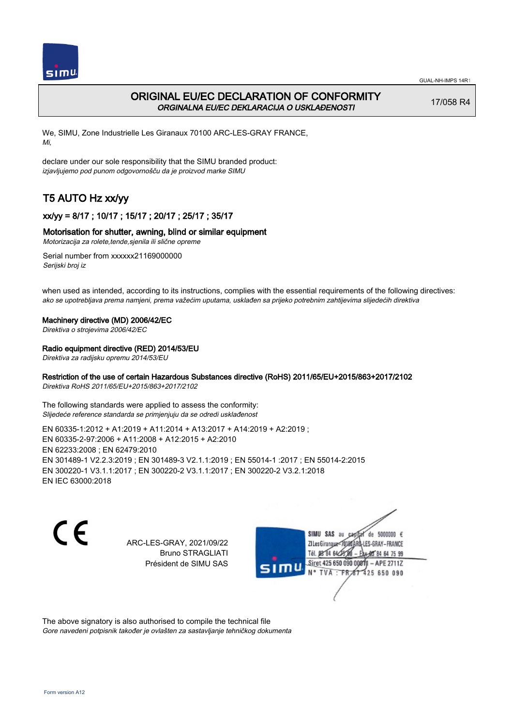

## ORIGINAL EU/EC DECLARATION OF CONFORMITY ORGINALNA EU/EC DEKLARACIJA O USKLAĐENOSTI

17/058 R4

We, SIMU, Zone Industrielle Les Giranaux 70100 ARC-LES-GRAY FRANCE, Mi,

declare under our sole responsibility that the SIMU branded product: izjavljujemo pod punom odgovornošču da je proizvod marke SIMU

# T5 AUTO Hz xx/yy

## xx/yy = 8/17 ; 10/17 ; 15/17 ; 20/17 ; 25/17 ; 35/17

## Motorisation for shutter, awning, blind or similar equipment

Motorizacija za rolete,tende,sjenila ili slične opreme

Serial number from xxxxxx21169000000 Serijski broj iz

when used as intended, according to its instructions, complies with the essential requirements of the following directives: ako se upotrebljava prema namjeni, prema važećim uputama, usklađen sa prijeko potrebnim zahtijevima slijedećih direktiva

### Machinery directive (MD) 2006/42/EC

Direktiva o strojevima 2006/42/EC

### Radio equipment directive (RED) 2014/53/EU

Direktiva za radijsku opremu 2014/53/EU

### Restriction of the use of certain Hazardous Substances directive (RoHS) 2011/65/EU+2015/863+2017/2102

Direktiva RoHS 2011/65/EU+2015/863+2017/2102

The following standards were applied to assess the conformity: Slijedeće reference standarda se primjenjuju da se odredi usklađenost

EN 60335‑1:2012 + A1:2019 + A11:2014 + A13:2017 + A14:2019 + A2:2019 ; EN 60335‑2‑97:2006 + A11:2008 + A12:2015 + A2:2010 EN 62233:2008 ; EN 62479:2010 EN 301489‑1 V2.2.3:2019 ; EN 301489‑3 V2.1.1:2019 ; EN 55014‑1 :2017 ; EN 55014‑2:2015 EN 300220‑1 V3.1.1:2017 ; EN 300220‑2 V3.1.1:2017 ; EN 300220‑2 V3.2.1:2018 EN IEC 63000:2018

 $\epsilon$ 

ARC-LES-GRAY, 2021/09/22 Bruno STRAGLIATI Président de SIMU SAS



The above signatory is also authorised to compile the technical file Gore navedeni potpisnik također je ovlašten za sastavljanje tehničkog dokumenta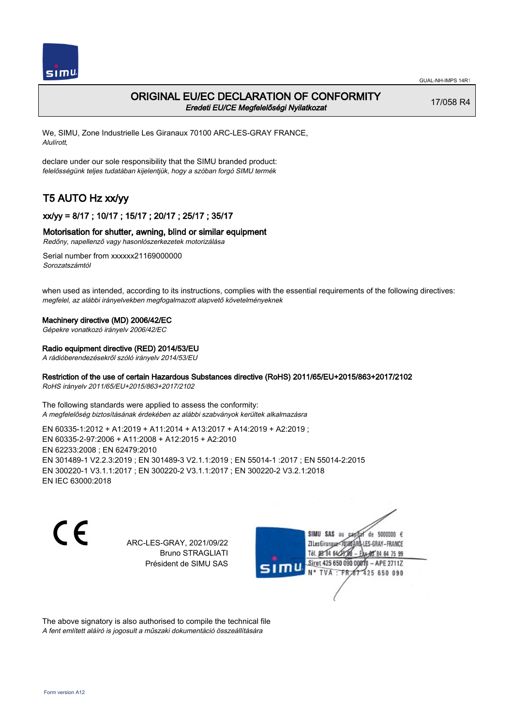

## ORIGINAL EU/EC DECLARATION OF CONFORMITY Eredeti EU/CE Megfelelőségi Nyilatkozat

17/058 R4

We, SIMU, Zone Industrielle Les Giranaux 70100 ARC-LES-GRAY FRANCE, Alulírott,

declare under our sole responsibility that the SIMU branded product: felelősségünk teljes tudatában kijelentjük, hogy a szóban forgó SIMU termék

# T5 AUTO Hz xx/yy

## xx/yy = 8/17 ; 10/17 ; 15/17 ; 20/17 ; 25/17 ; 35/17

### Motorisation for shutter, awning, blind or similar equipment

Redőny, napellenző vagy hasonlószerkezetek motorizálása

Serial number from xxxxxx21169000000 Sorozatszámtól

when used as intended, according to its instructions, complies with the essential requirements of the following directives: megfelel, az alábbi irányelvekben megfogalmazott alapvető követelményeknek

#### Machinery directive (MD) 2006/42/EC

Gépekre vonatkozó irányelv 2006/42/EC

#### Radio equipment directive (RED) 2014/53/EU

A rádióberendezésekről szóló irányelv 2014/53/EU

### Restriction of the use of certain Hazardous Substances directive (RoHS) 2011/65/EU+2015/863+2017/2102

RoHS irányelv 2011/65/EU+2015/863+2017/2102

The following standards were applied to assess the conformity: A megfelelőség biztosításának érdekében az alábbi szabványok kerültek alkalmazásra

EN 60335‑1:2012 + A1:2019 + A11:2014 + A13:2017 + A14:2019 + A2:2019 ; EN 60335‑2‑97:2006 + A11:2008 + A12:2015 + A2:2010 EN 62233:2008 ; EN 62479:2010 EN 301489‑1 V2.2.3:2019 ; EN 301489‑3 V2.1.1:2019 ; EN 55014‑1 :2017 ; EN 55014‑2:2015 EN 300220‑1 V3.1.1:2017 ; EN 300220‑2 V3.1.1:2017 ; EN 300220‑2 V3.2.1:2018 EN IEC 63000:2018

C F

ARC-LES-GRAY, 2021/09/22 Bruno STRAGLIATI Président de SIMU SAS



The above signatory is also authorised to compile the technical file A fent említett aláíró is jogosult a műszaki dokumentáció összeállítására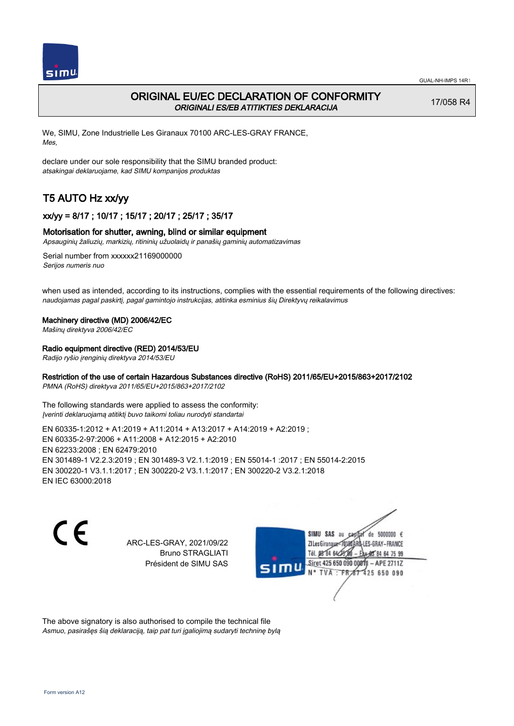

## ORIGINAL EU/EC DECLARATION OF CONFORMITY ORIGINALI ES/EB ATITIKTIES DEKLARACIJA

17/058 R4

We, SIMU, Zone Industrielle Les Giranaux 70100 ARC-LES-GRAY FRANCE, Mes,

declare under our sole responsibility that the SIMU branded product: atsakingai deklaruojame, kad SIMU kompanijos produktas

# T5 AUTO Hz xx/yy

## xx/yy = 8/17 ; 10/17 ; 15/17 ; 20/17 ; 25/17 ; 35/17

### Motorisation for shutter, awning, blind or similar equipment

Apsauginių žaliuzių, markizių, ritininių užuolaidų ir panašių gaminių automatizavimas

Serial number from xxxxxx21169000000 Serijos numeris nuo

when used as intended, according to its instructions, complies with the essential requirements of the following directives: naudojamas pagal paskirtį, pagal gamintojo instrukcijas, atitinka esminius šių Direktyvų reikalavimus

### Machinery directive (MD) 2006/42/EC

Mašinų direktyva 2006/42/EC

### Radio equipment directive (RED) 2014/53/EU

Radijo ryšio įrenginių direktyva 2014/53/EU

### Restriction of the use of certain Hazardous Substances directive (RoHS) 2011/65/EU+2015/863+2017/2102

PMNA (RoHS) direktyva 2011/65/EU+2015/863+2017/2102

The following standards were applied to assess the conformity: Įverinti deklaruojamą atitiktį buvo taikomi toliau nurodyti standartai

EN 60335‑1:2012 + A1:2019 + A11:2014 + A13:2017 + A14:2019 + A2:2019 ; EN 60335‑2‑97:2006 + A11:2008 + A12:2015 + A2:2010 EN 62233:2008 ; EN 62479:2010 EN 301489‑1 V2.2.3:2019 ; EN 301489‑3 V2.1.1:2019 ; EN 55014‑1 :2017 ; EN 55014‑2:2015 EN 300220‑1 V3.1.1:2017 ; EN 300220‑2 V3.1.1:2017 ; EN 300220‑2 V3.2.1:2018 EN IEC 63000:2018

C F

ARC-LES-GRAY, 2021/09/22 Bruno STRAGLIATI Président de SIMU SAS



The above signatory is also authorised to compile the technical file Asmuo, pasirašęs šią deklaraciją, taip pat turi įgaliojimą sudaryti techninę bylą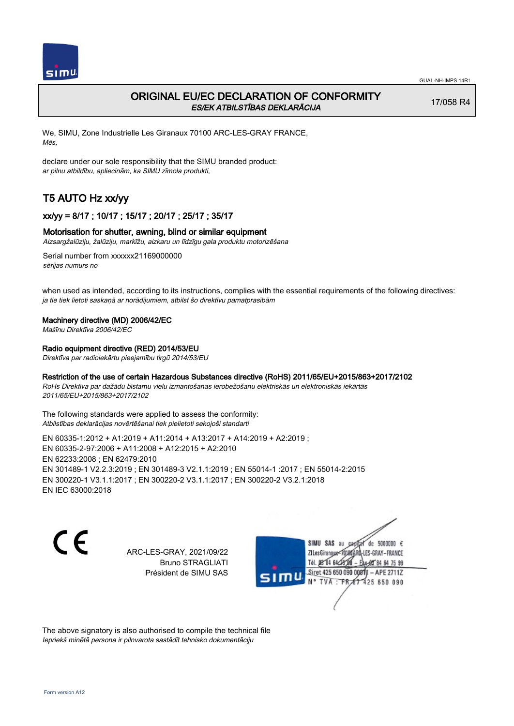

## ORIGINAL EU/EC DECLARATION OF CONFORMITY ES/EK ATBILSTĪBAS DEKLARĀCIJA

17/058 R4

We, SIMU, Zone Industrielle Les Giranaux 70100 ARC-LES-GRAY FRANCE, Mēs,

declare under our sole responsibility that the SIMU branded product: ar pilnu atbildību, apliecinām, ka SIMU zīmola produkti,

# T5 AUTO Hz xx/yy

## xx/yy = 8/17 ; 10/17 ; 15/17 ; 20/17 ; 25/17 ; 35/17

#### Motorisation for shutter, awning, blind or similar equipment

Aizsargžalūziju, žalūziju, markīžu, aizkaru un līdzīgu gala produktu motorizēšana

Serial number from xxxxxx21169000000 sērijas numurs no

when used as intended, according to its instructions, complies with the essential requirements of the following directives: ja tie tiek lietoti saskaņā ar norādījumiem, atbilst šo direktīvu pamatprasībām

#### Machinery directive (MD) 2006/42/EC

Mašīnu Direktīva 2006/42/EC

### Radio equipment directive (RED) 2014/53/EU

Direktīva par radioiekārtu pieejamību tirgū 2014/53/EU

### Restriction of the use of certain Hazardous Substances directive (RoHS) 2011/65/EU+2015/863+2017/2102

RoHs Direktīva par dažādu bīstamu vielu izmantošanas ierobežošanu elektriskās un elektroniskās iekārtās 2011/65/EU+2015/863+2017/2102

The following standards were applied to assess the conformity: Atbilstības deklarācijas novērtēšanai tiek pielietoti sekojoši standarti

EN 60335‑1:2012 + A1:2019 + A11:2014 + A13:2017 + A14:2019 + A2:2019 ; EN 60335‑2‑97:2006 + A11:2008 + A12:2015 + A2:2010 EN 62233:2008 ; EN 62479:2010 EN 301489‑1 V2.2.3:2019 ; EN 301489‑3 V2.1.1:2019 ; EN 55014‑1 :2017 ; EN 55014‑2:2015 EN 300220‑1 V3.1.1:2017 ; EN 300220‑2 V3.1.1:2017 ; EN 300220‑2 V3.2.1:2018 EN IEC 63000:2018

C E

ARC-LES-GRAY, 2021/09/22 Bruno STRAGLIATI Président de SIMU SAS

SIMU SAS au de 5000000  $\epsilon$ ZI Les Giranaux</r0180 LES-GRAY-FRANCE Tél. 08 84 64 28 64 75 99 Siret 425 650 090 008TV - APE 2711Z  $TVA : FRAT$ 425 650 090

The above signatory is also authorised to compile the technical file Iepriekš minētā persona ir pilnvarota sastādīt tehnisko dokumentāciju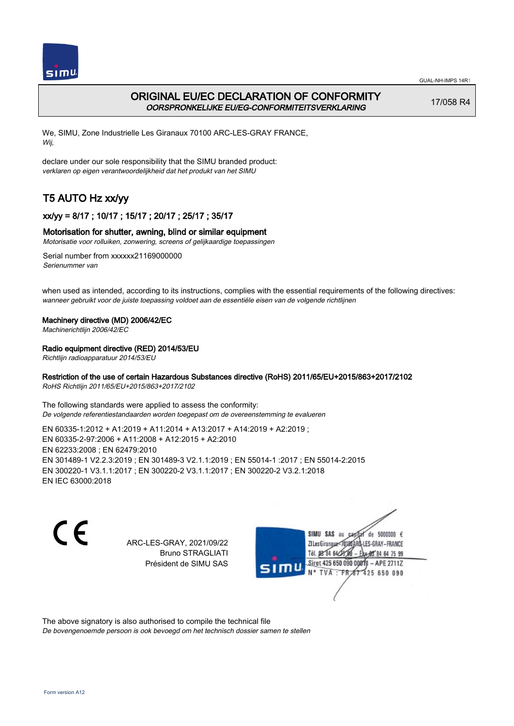

## ORIGINAL EU/EC DECLARATION OF CONFORMITY OORSPRONKELIJKE EU/EG-CONFORMITEITSVERKLARING

17/058 R4

We, SIMU, Zone Industrielle Les Giranaux 70100 ARC-LES-GRAY FRANCE, Wij,

declare under our sole responsibility that the SIMU branded product: verklaren op eigen verantwoordelijkheid dat het produkt van het SIMU

# T5 AUTO Hz xx/yy

## xx/yy = 8/17 ; 10/17 ; 15/17 ; 20/17 ; 25/17 ; 35/17

## Motorisation for shutter, awning, blind or similar equipment

Motorisatie voor rolluiken, zonwering, screens of gelijkaardige toepassingen

Serial number from xxxxxx21169000000 Serienummer van

when used as intended, according to its instructions, complies with the essential requirements of the following directives: wanneer gebruikt voor de juiste toepassing voldoet aan de essentiële eisen van de volgende richtlijnen

### Machinery directive (MD) 2006/42/EC

Machinerichtlijn 2006/42/EC

## Radio equipment directive (RED) 2014/53/EU

Richtlijn radioapparatuur 2014/53/EU

### Restriction of the use of certain Hazardous Substances directive (RoHS) 2011/65/EU+2015/863+2017/2102

RoHS Richtlijn 2011/65/EU+2015/863+2017/2102

The following standards were applied to assess the conformity: De volgende referentiestandaarden worden toegepast om de overeenstemming te evalueren

EN 60335‑1:2012 + A1:2019 + A11:2014 + A13:2017 + A14:2019 + A2:2019 ; EN 60335‑2‑97:2006 + A11:2008 + A12:2015 + A2:2010 EN 62233:2008 ; EN 62479:2010 EN 301489‑1 V2.2.3:2019 ; EN 301489‑3 V2.1.1:2019 ; EN 55014‑1 :2017 ; EN 55014‑2:2015 EN 300220‑1 V3.1.1:2017 ; EN 300220‑2 V3.1.1:2017 ; EN 300220‑2 V3.2.1:2018 EN IEC 63000:2018

 $\epsilon$ 

ARC-LES-GRAY, 2021/09/22 Bruno STRAGLIATI Président de SIMU SAS



The above signatory is also authorised to compile the technical file

De bovengenoemde persoon is ook bevoegd om het technisch dossier samen te stellen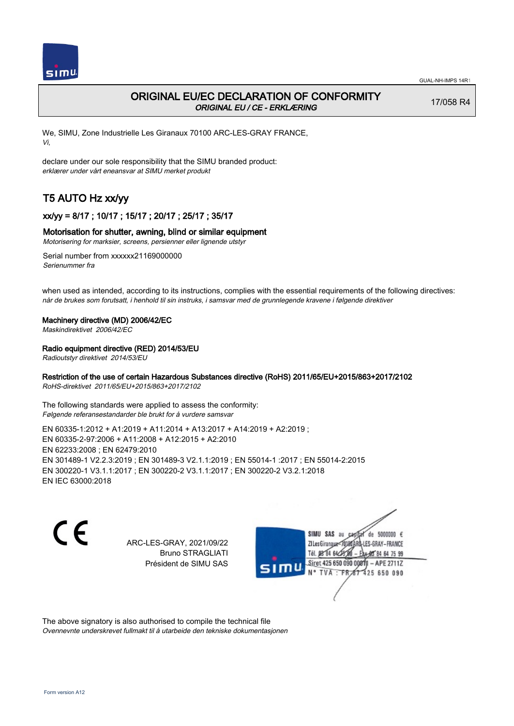

## ORIGINAL EU/EC DECLARATION OF CONFORMITY ORIGINAL EU / CE - ERKLÆRING

17/058 R4

We, SIMU, Zone Industrielle Les Giranaux 70100 ARC-LES-GRAY FRANCE, Vi,

declare under our sole responsibility that the SIMU branded product: erklærer under vårt eneansvar at SIMU merket produkt

# T5 AUTO Hz xx/yy

## xx/yy = 8/17 ; 10/17 ; 15/17 ; 20/17 ; 25/17 ; 35/17

### Motorisation for shutter, awning, blind or similar equipment

Motorisering for marksier, screens, persienner eller lignende utstyr

Serial number from xxxxxx21169000000 Serienummer fra

when used as intended, according to its instructions, complies with the essential requirements of the following directives: når de brukes som forutsatt, i henhold til sin instruks, i samsvar med de grunnlegende kravene i følgende direktiver

#### Machinery directive (MD) 2006/42/EC

Maskindirektivet 2006/42/EC

### Radio equipment directive (RED) 2014/53/EU

Radioutstyr direktivet 2014/53/EU

## Restriction of the use of certain Hazardous Substances directive (RoHS) 2011/65/EU+2015/863+2017/2102

RoHS-direktivet 2011/65/EU+2015/863+2017/2102

The following standards were applied to assess the conformity: Følgende referansestandarder ble brukt for å vurdere samsvar

EN 60335‑1:2012 + A1:2019 + A11:2014 + A13:2017 + A14:2019 + A2:2019 ; EN 60335‑2‑97:2006 + A11:2008 + A12:2015 + A2:2010 EN 62233:2008 ; EN 62479:2010 EN 301489‑1 V2.2.3:2019 ; EN 301489‑3 V2.1.1:2019 ; EN 55014‑1 :2017 ; EN 55014‑2:2015 EN 300220‑1 V3.1.1:2017 ; EN 300220‑2 V3.1.1:2017 ; EN 300220‑2 V3.2.1:2018 EN IEC 63000:2018

 $\epsilon$ 

ARC-LES-GRAY, 2021/09/22 Bruno STRAGLIATI Président de SIMU SAS



The above signatory is also authorised to compile the technical file Ovennevnte underskrevet fullmakt til å utarbeide den tekniske dokumentasjonen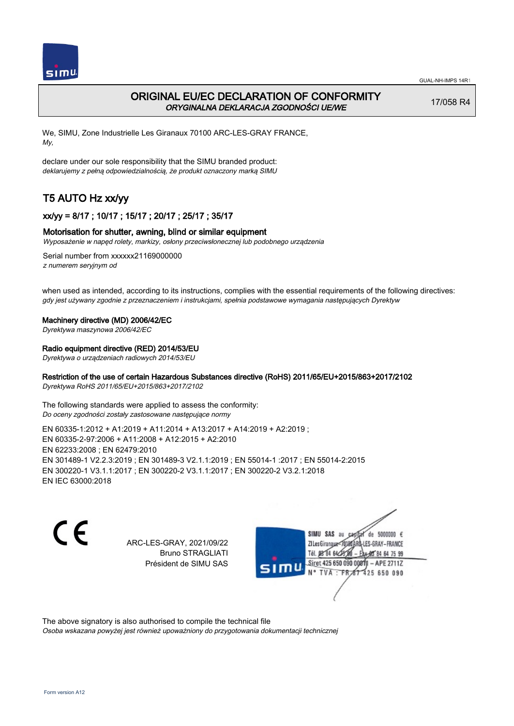

## ORIGINAL EU/EC DECLARATION OF CONFORMITY ORYGINALNA DEKLARACJA ZGODNOŚCI UE/WE

17/058 R4

We, SIMU, Zone Industrielle Les Giranaux 70100 ARC-LES-GRAY FRANCE, My,

declare under our sole responsibility that the SIMU branded product: deklarujemy z pełną odpowiedzialnością, że produkt oznaczony marką SIMU

# T5 AUTO Hz xx/yy

## xx/yy = 8/17 ; 10/17 ; 15/17 ; 20/17 ; 25/17 ; 35/17

### Motorisation for shutter, awning, blind or similar equipment

Wyposażenie w napęd rolety, markizy, osłony przeciwsłonecznej lub podobnego urządzenia

Serial number from xxxxxx21169000000 z numerem seryjnym od

when used as intended, according to its instructions, complies with the essential requirements of the following directives: gdy jest używany zgodnie z przeznaczeniem i instrukcjami, spełnia podstawowe wymagania następujących Dyrektyw

### Machinery directive (MD) 2006/42/EC

Dyrektywa maszynowa 2006/42/EC

### Radio equipment directive (RED) 2014/53/EU

Dyrektywa o urządzeniach radiowych 2014/53/EU

### Restriction of the use of certain Hazardous Substances directive (RoHS) 2011/65/EU+2015/863+2017/2102

Dyrektywa RoHS 2011/65/EU+2015/863+2017/2102

The following standards were applied to assess the conformity: Do oceny zgodności zostały zastosowane następujące normy

EN 60335‑1:2012 + A1:2019 + A11:2014 + A13:2017 + A14:2019 + A2:2019 ; EN 60335‑2‑97:2006 + A11:2008 + A12:2015 + A2:2010 EN 62233:2008 ; EN 62479:2010 EN 301489‑1 V2.2.3:2019 ; EN 301489‑3 V2.1.1:2019 ; EN 55014‑1 :2017 ; EN 55014‑2:2015 EN 300220‑1 V3.1.1:2017 ; EN 300220‑2 V3.1.1:2017 ; EN 300220‑2 V3.2.1:2018 EN IEC 63000:2018

C F

ARC-LES-GRAY, 2021/09/22 Bruno STRAGLIATI Président de SIMU SAS



The above signatory is also authorised to compile the technical file

Osoba wskazana powyżej jest również upoważniony do przygotowania dokumentacji technicznej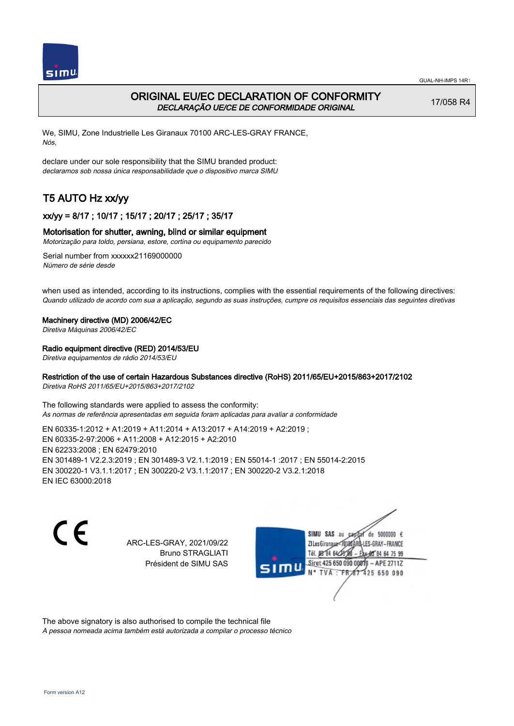

## ORIGINAL EU/EC DECLARATION OF CONFORMITY DECLARAÇÃO UE/CE DE CONFORMIDADE ORIGINAL

17/058 R4

We, SIMU, Zone Industrielle Les Giranaux 70100 ARC-LES-GRAY FRANCE, Nós,

declare under our sole responsibility that the SIMU branded product: declaramos sob nossa única responsabilidade que o dispositivo marca SIMU

# T5 AUTO Hz xx/yy

## xx/yy = 8/17 ; 10/17 ; 15/17 ; 20/17 ; 25/17 ; 35/17

## Motorisation for shutter, awning, blind or similar equipment

Motorização para toldo, persiana, estore, cortina ou equipamento parecido

Serial number from xxxxxx21169000000 Número de série desde

when used as intended, according to its instructions, complies with the essential requirements of the following directives: Quando utilizado de acordo com sua a aplicação, segundo as suas instruções, cumpre os requisitos essenciais das seguintes diretivas

### Machinery directive (MD) 2006/42/EC

Diretiva Máquinas 2006/42/EC

### Radio equipment directive (RED) 2014/53/EU

Diretiva equipamentos de rádio 2014/53/EU

### Restriction of the use of certain Hazardous Substances directive (RoHS) 2011/65/EU+2015/863+2017/2102

Diretiva RoHS 2011/65/EU+2015/863+2017/2102

The following standards were applied to assess the conformity: As normas de referência apresentadas em seguida foram aplicadas para avaliar a conformidade

EN 60335‑1:2012 + A1:2019 + A11:2014 + A13:2017 + A14:2019 + A2:2019 ; EN 60335‑2‑97:2006 + A11:2008 + A12:2015 + A2:2010 EN 62233:2008 ; EN 62479:2010 EN 301489‑1 V2.2.3:2019 ; EN 301489‑3 V2.1.1:2019 ; EN 55014‑1 :2017 ; EN 55014‑2:2015 EN 300220‑1 V3.1.1:2017 ; EN 300220‑2 V3.1.1:2017 ; EN 300220‑2 V3.2.1:2018 EN IEC 63000:2018

 $\epsilon$ 

ARC-LES-GRAY, 2021/09/22 Bruno STRAGLIATI Président de SIMU SAS



The above signatory is also authorised to compile the technical file

A pessoa nomeada acima também está autorizada a compilar o processo técnico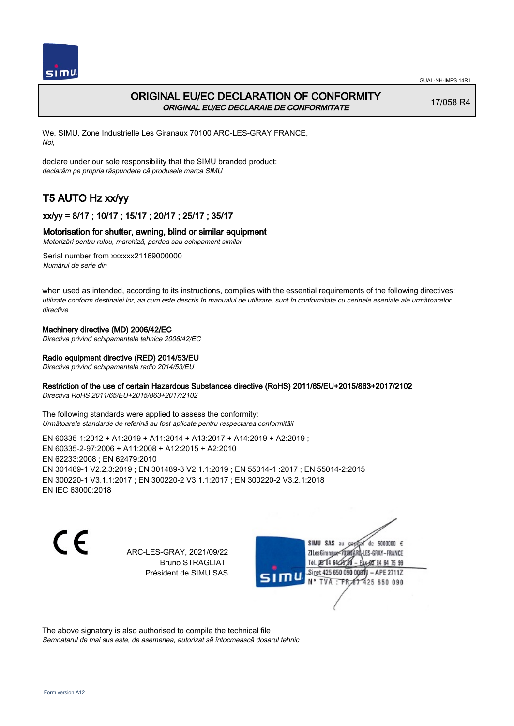



## ORIGINAL EU/EC DECLARATION OF CONFORMITY ORIGINAL EU/EC DECLARAIE DE CONFORMITATE

17/058 R4

We, SIMU, Zone Industrielle Les Giranaux 70100 ARC-LES-GRAY FRANCE, Noi,

declare under our sole responsibility that the SIMU branded product: declarăm pe propria răspundere că produsele marca SIMU

# T5 AUTO Hz xx/yy

## xx/yy = 8/17 ; 10/17 ; 15/17 ; 20/17 ; 25/17 ; 35/17

## Motorisation for shutter, awning, blind or similar equipment

Motorizări pentru rulou, marchiză, perdea sau echipament similar

Serial number from xxxxxx21169000000 Numărul de serie din

when used as intended, according to its instructions, complies with the essential requirements of the following directives: utilizate conform destinaiei lor, aa cum este descris în manualul de utilizare, sunt în conformitate cu cerinele eseniale ale următoarelor directive

## Machinery directive (MD) 2006/42/EC

Directiva privind echipamentele tehnice 2006/42/EC

### Radio equipment directive (RED) 2014/53/EU

Directiva privind echipamentele radio 2014/53/EU

### Restriction of the use of certain Hazardous Substances directive (RoHS) 2011/65/EU+2015/863+2017/2102

Directiva RoHS 2011/65/EU+2015/863+2017/2102

The following standards were applied to assess the conformity: Următoarele standarde de referină au fost aplicate pentru respectarea conformităii

EN 60335‑1:2012 + A1:2019 + A11:2014 + A13:2017 + A14:2019 + A2:2019 ; EN 60335‑2‑97:2006 + A11:2008 + A12:2015 + A2:2010 EN 62233:2008 ; EN 62479:2010 EN 301489‑1 V2.2.3:2019 ; EN 301489‑3 V2.1.1:2019 ; EN 55014‑1 :2017 ; EN 55014‑2:2015 EN 300220‑1 V3.1.1:2017 ; EN 300220‑2 V3.1.1:2017 ; EN 300220‑2 V3.2.1:2018 EN IEC 63000:2018

C E

ARC-LES-GRAY, 2021/09/22 Bruno STRAGLIATI Président de SIMU SAS

de 5000000  $\epsilon$ SIMU SAS au ZI Les Giranaux-70180 LES-GRAY-FRANCE Tél. 08 84 64 24 64 75 99 Siret 425 650 090 0001) - APE 2711Z 425 650 090 TVA: FR

The above signatory is also authorised to compile the technical file Semnatarul de mai sus este, de asemenea, autorizat să întocmească dosarul tehnic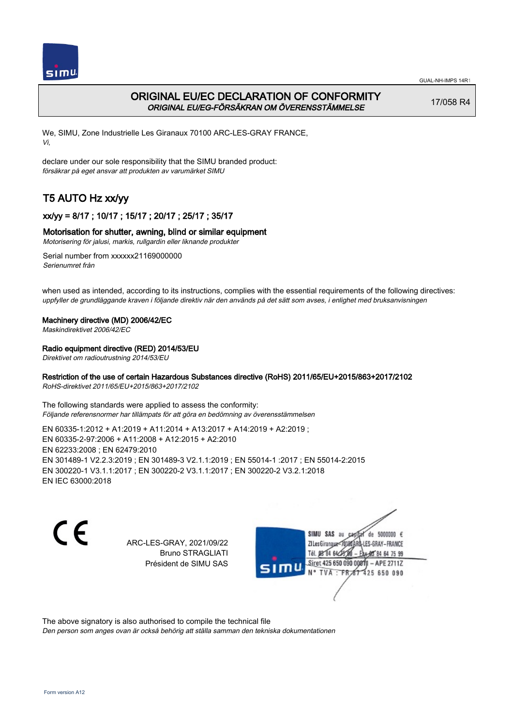

## ORIGINAL EU/EC DECLARATION OF CONFORMITY ORIGINAL EU/EG-FÖRSÄKRAN OM ÖVERENSSTÄMMELSE

17/058 R4

We, SIMU, Zone Industrielle Les Giranaux 70100 ARC-LES-GRAY FRANCE, Vi,

declare under our sole responsibility that the SIMU branded product: försäkrar på eget ansvar att produkten av varumärket SIMU

# T5 AUTO Hz xx/yy

## xx/yy = 8/17 ; 10/17 ; 15/17 ; 20/17 ; 25/17 ; 35/17

## Motorisation for shutter, awning, blind or similar equipment

Motorisering för jalusi, markis, rullgardin eller liknande produkter

Serial number from xxxxxx21169000000 Serienumret från

when used as intended, according to its instructions, complies with the essential requirements of the following directives: uppfyller de grundläggande kraven i följande direktiv när den används på det sätt som avses, i enlighet med bruksanvisningen

### Machinery directive (MD) 2006/42/EC

Maskindirektivet 2006/42/EC

### Radio equipment directive (RED) 2014/53/EU

Direktivet om radioutrustning 2014/53/EU

### Restriction of the use of certain Hazardous Substances directive (RoHS) 2011/65/EU+2015/863+2017/2102

RoHS-direktivet 2011/65/EU+2015/863+2017/2102

The following standards were applied to assess the conformity: Följande referensnormer har tillämpats för att göra en bedömning av överensstämmelsen

EN 60335‑1:2012 + A1:2019 + A11:2014 + A13:2017 + A14:2019 + A2:2019 ; EN 60335‑2‑97:2006 + A11:2008 + A12:2015 + A2:2010 EN 62233:2008 ; EN 62479:2010 EN 301489‑1 V2.2.3:2019 ; EN 301489‑3 V2.1.1:2019 ; EN 55014‑1 :2017 ; EN 55014‑2:2015 EN 300220‑1 V3.1.1:2017 ; EN 300220‑2 V3.1.1:2017 ; EN 300220‑2 V3.2.1:2018 EN IEC 63000:2018

 $\epsilon$ 

ARC-LES-GRAY, 2021/09/22 Bruno STRAGLIATI Président de SIMU SAS



The above signatory is also authorised to compile the technical file

Den person som anges ovan är också behörig att ställa samman den tekniska dokumentationen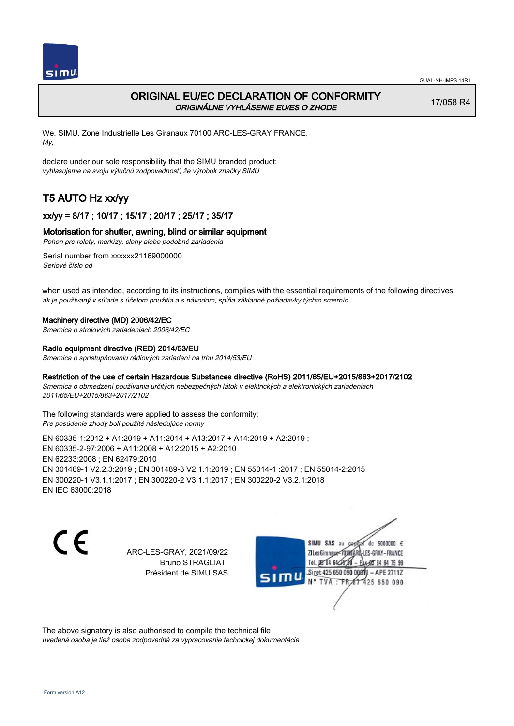

## ORIGINAL EU/EC DECLARATION OF CONFORMITY ORIGINÁLNE VYHLÁSENIE EU/ES O ZHODE

17/058 R4

We, SIMU, Zone Industrielle Les Giranaux 70100 ARC-LES-GRAY FRANCE, My,

declare under our sole responsibility that the SIMU branded product: vyhlasujeme na svoju výlučnú zodpovednosť, že výrobok značky SIMU

# T5 AUTO Hz xx/yy

## xx/yy = 8/17 ; 10/17 ; 15/17 ; 20/17 ; 25/17 ; 35/17

## Motorisation for shutter, awning, blind or similar equipment

Pohon pre rolety, markízy, clony alebo podobné zariadenia

Serial number from xxxxxx21169000000 Seriové číslo od

when used as intended, according to its instructions, complies with the essential requirements of the following directives: ak je používaný v súlade s účelom použitia a s návodom, spĺňa základné požiadavky týchto smerníc

### Machinery directive (MD) 2006/42/EC

Smernica o strojových zariadeniach 2006/42/EC

### Radio equipment directive (RED) 2014/53/EU

Smernica o sprístupňovaniu rádiových zariadení na trhu 2014/53/EU

### Restriction of the use of certain Hazardous Substances directive (RoHS) 2011/65/EU+2015/863+2017/2102

Smernica o obmedzení používania určitých nebezpečných látok v elektrických a elektronických zariadeniach 2011/65/EU+2015/863+2017/2102

The following standards were applied to assess the conformity: Pre posúdenie zhody boli použité následujúce normy

EN 60335‑1:2012 + A1:2019 + A11:2014 + A13:2017 + A14:2019 + A2:2019 ; EN 60335‑2‑97:2006 + A11:2008 + A12:2015 + A2:2010 EN 62233:2008 ; EN 62479:2010 EN 301489‑1 V2.2.3:2019 ; EN 301489‑3 V2.1.1:2019 ; EN 55014‑1 :2017 ; EN 55014‑2:2015 EN 300220‑1 V3.1.1:2017 ; EN 300220‑2 V3.1.1:2017 ; EN 300220‑2 V3.2.1:2018 EN IEC 63000:2018

C E

ARC-LES-GRAY, 2021/09/22 Bruno STRAGLIATI Président de SIMU SAS

SIMU SAS au de 5000000  $\epsilon$ ZI Les Giranaux</r0180 LES-GRAY-FRANCE Tél. 08 84 64 24 64 75 99 Siret 425 650 090 008TV - APE 2711Z 425 650 090 TVA : FRAT

The above signatory is also authorised to compile the technical file uvedená osoba je tiež osoba zodpovedná za vypracovanie technickej dokumentácie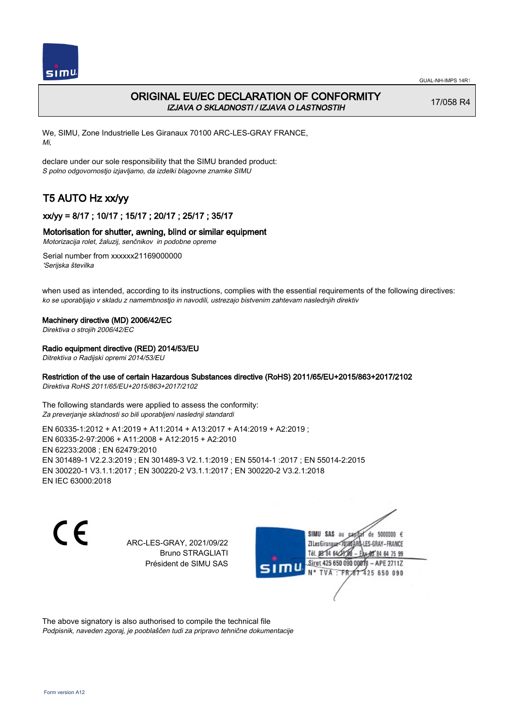

## ORIGINAL EU/EC DECLARATION OF CONFORMITY IZJAVA O SKLADNOSTI / IZJAVA O LASTNOSTIH

17/058 R4

We, SIMU, Zone Industrielle Les Giranaux 70100 ARC-LES-GRAY FRANCE, Mi,

declare under our sole responsibility that the SIMU branded product: S polno odgovornostjo izjavljamo, da izdelki blagovne znamke SIMU

# T5 AUTO Hz xx/yy

## xx/yy = 8/17 ; 10/17 ; 15/17 ; 20/17 ; 25/17 ; 35/17

## Motorisation for shutter, awning, blind or similar equipment

Motorizacija rolet, žaluzij, senčnikov in podobne opreme

Serial number from xxxxxx21169000000 'Serijska številka

when used as intended, according to its instructions, complies with the essential requirements of the following directives: ko se uporabljajo v skladu z namembnostjo in navodili, ustrezajo bistvenim zahtevam naslednjih direktiv

### Machinery directive (MD) 2006/42/EC

Direktiva o strojih 2006/42/EC

### Radio equipment directive (RED) 2014/53/EU

Ditrektiva o Radijski opremi 2014/53/EU

### Restriction of the use of certain Hazardous Substances directive (RoHS) 2011/65/EU+2015/863+2017/2102

Direktiva RoHS 2011/65/EU+2015/863+2017/2102

The following standards were applied to assess the conformity: Za preverjanje skladnosti so bili uporabljeni naslednji standardi

EN 60335‑1:2012 + A1:2019 + A11:2014 + A13:2017 + A14:2019 + A2:2019 ; EN 60335‑2‑97:2006 + A11:2008 + A12:2015 + A2:2010 EN 62233:2008 ; EN 62479:2010 EN 301489‑1 V2.2.3:2019 ; EN 301489‑3 V2.1.1:2019 ; EN 55014‑1 :2017 ; EN 55014‑2:2015 EN 300220‑1 V3.1.1:2017 ; EN 300220‑2 V3.1.1:2017 ; EN 300220‑2 V3.2.1:2018 EN IEC 63000:2018

 $\epsilon$ 

ARC-LES-GRAY, 2021/09/22 Bruno STRAGLIATI Président de SIMU SAS



The above signatory is also authorised to compile the technical file Podpisnik, naveden zgoraj, je pooblaščen tudi za pripravo tehnične dokumentacije